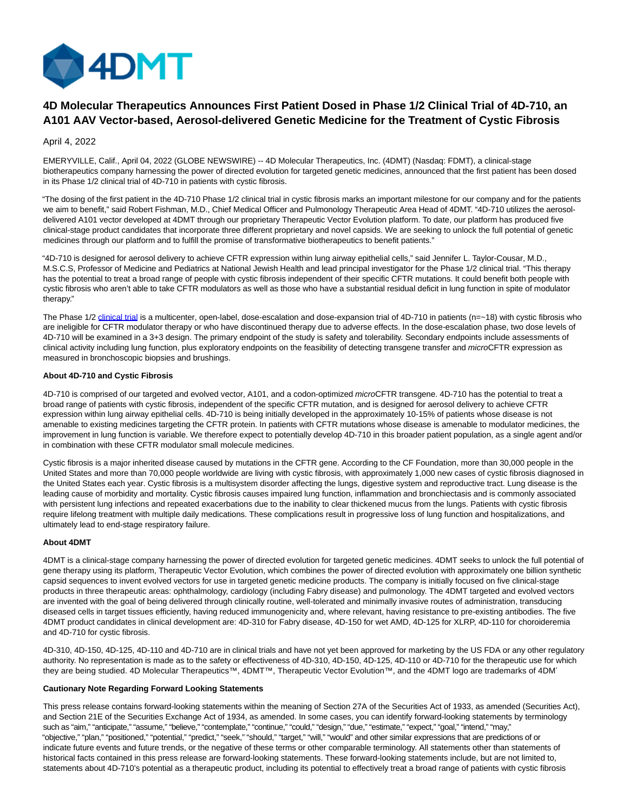

# **4D Molecular Therapeutics Announces First Patient Dosed in Phase 1/2 Clinical Trial of 4D-710, an A101 AAV Vector-based, Aerosol-delivered Genetic Medicine for the Treatment of Cystic Fibrosis**

# April 4, 2022

EMERYVILLE, Calif., April 04, 2022 (GLOBE NEWSWIRE) -- 4D Molecular Therapeutics, Inc. (4DMT) (Nasdaq: FDMT), a clinical-stage biotherapeutics company harnessing the power of directed evolution for targeted genetic medicines, announced that the first patient has been dosed in its Phase 1/2 clinical trial of 4D-710 in patients with cystic fibrosis.

"The dosing of the first patient in the 4D-710 Phase 1/2 clinical trial in cystic fibrosis marks an important milestone for our company and for the patients we aim to benefit," said Robert Fishman, M.D., Chief Medical Officer and Pulmonology Therapeutic Area Head of 4DMT. "4D-710 utilizes the aerosoldelivered A101 vector developed at 4DMT through our proprietary Therapeutic Vector Evolution platform. To date, our platform has produced five clinical-stage product candidates that incorporate three different proprietary and novel capsids. We are seeking to unlock the full potential of genetic medicines through our platform and to fulfill the promise of transformative biotherapeutics to benefit patients."

"4D-710 is designed for aerosol delivery to achieve CFTR expression within lung airway epithelial cells," said Jennifer L. Taylor-Cousar, M.D., M.S.C.S, Professor of Medicine and Pediatrics at National Jewish Health and lead principal investigator for the Phase 1/2 clinical trial. "This therapy has the potential to treat a broad range of people with cystic fibrosis independent of their specific CFTR mutations. It could benefit both people with cystic fibrosis who aren't able to take CFTR modulators as well as those who have a substantial residual deficit in lung function in spite of modulator therapy."

The Phase 1/2 [clinical trial i](https://www.globenewswire.com/Tracker?data=ywk2K7CKLteO-WcfrVt9Fv0X0tETBQJ5m0Xi4svhEycoD79X23-xr5OzmYpZLsc9OYVkWQnu7Cl5tefmpfjuukZZTX8FukkbMCV_u1XXh_MnQHCCMwPUEg5Bw9liOvUl)s a multicenter, open-label, dose-escalation and dose-expansion trial of 4D-710 in patients (n=~18) with cystic fibrosis who are ineligible for CFTR modulator therapy or who have discontinued therapy due to adverse effects. In the dose-escalation phase, two dose levels of 4D-710 will be examined in a 3+3 design. The primary endpoint of the study is safety and tolerability. Secondary endpoints include assessments of clinical activity including lung function, plus exploratory endpoints on the feasibility of detecting transgene transfer and microCFTR expression as measured in bronchoscopic biopsies and brushings.

# **About 4D-710 and Cystic Fibrosis**

4D-710 is comprised of our targeted and evolved vector, A101, and a codon-optimized microCFTR transgene. 4D-710 has the potential to treat a broad range of patients with cystic fibrosis, independent of the specific CFTR mutation, and is designed for aerosol delivery to achieve CFTR expression within lung airway epithelial cells. 4D-710 is being initially developed in the approximately 10-15% of patients whose disease is not amenable to existing medicines targeting the CFTR protein. In patients with CFTR mutations whose disease is amenable to modulator medicines, the improvement in lung function is variable. We therefore expect to potentially develop 4D-710 in this broader patient population, as a single agent and/or in combination with these CFTR modulator small molecule medicines.

Cystic fibrosis is a major inherited disease caused by mutations in the CFTR gene. According to the CF Foundation, more than 30,000 people in the United States and more than 70,000 people worldwide are living with cystic fibrosis, with approximately 1,000 new cases of cystic fibrosis diagnosed in the United States each year. Cystic fibrosis is a multisystem disorder affecting the lungs, digestive system and reproductive tract. Lung disease is the leading cause of morbidity and mortality. Cystic fibrosis causes impaired lung function, inflammation and bronchiectasis and is commonly associated with persistent lung infections and repeated exacerbations due to the inability to clear thickened mucus from the lungs. Patients with cystic fibrosis require lifelong treatment with multiple daily medications. These complications result in progressive loss of lung function and hospitalizations, and ultimately lead to end-stage respiratory failure.

### **About 4DMT**

4DMT is a clinical-stage company harnessing the power of directed evolution for targeted genetic medicines. 4DMT seeks to unlock the full potential of gene therapy using its platform, Therapeutic Vector Evolution, which combines the power of directed evolution with approximately one billion synthetic capsid sequences to invent evolved vectors for use in targeted genetic medicine products. The company is initially focused on five clinical-stage products in three therapeutic areas: ophthalmology, cardiology (including Fabry disease) and pulmonology. The 4DMT targeted and evolved vectors are invented with the goal of being delivered through clinically routine, well-tolerated and minimally invasive routes of administration, transducing diseased cells in target tissues efficiently, having reduced immunogenicity and, where relevant, having resistance to pre-existing antibodies. The five 4DMT product candidates in clinical development are: 4D-310 for Fabry disease, 4D-150 for wet AMD, 4D-125 for XLRP, 4D-110 for choroideremia and 4D-710 for cystic fibrosis.

4D-310, 4D-150, 4D-125, 4D-110 and 4D-710 are in clinical trials and have not yet been approved for marketing by the US FDA or any other regulatory authority. No representation is made as to the safety or effectiveness of 4D-310, 4D-150, 4D-125, 4D-110 or 4D-710 for the therapeutic use for which they are being studied. 4D Molecular Therapeutics™, 4DMT™, Therapeutic Vector Evolution™, and the 4DMT logo are trademarks of 4DMT.

## **Cautionary Note Regarding Forward Looking Statements**

This press release contains forward-looking statements within the meaning of Section 27A of the Securities Act of 1933, as amended (Securities Act), and Section 21E of the Securities Exchange Act of 1934, as amended. In some cases, you can identify forward-looking statements by terminology such as "aim," "anticipate," "assume," "believe," "contemplate," "continue," "could," "design," "due," "estimate," "expect," "goal," "intend," "may," "objective," "plan," "positioned," "potential," "predict," "seek," "should," "target," "will," "would" and other similar expressions that are predictions of or indicate future events and future trends, or the negative of these terms or other comparable terminology. All statements other than statements of historical facts contained in this press release are forward-looking statements. These forward-looking statements include, but are not limited to, statements about 4D-710's potential as a therapeutic product, including its potential to effectively treat a broad range of patients with cystic fibrosis